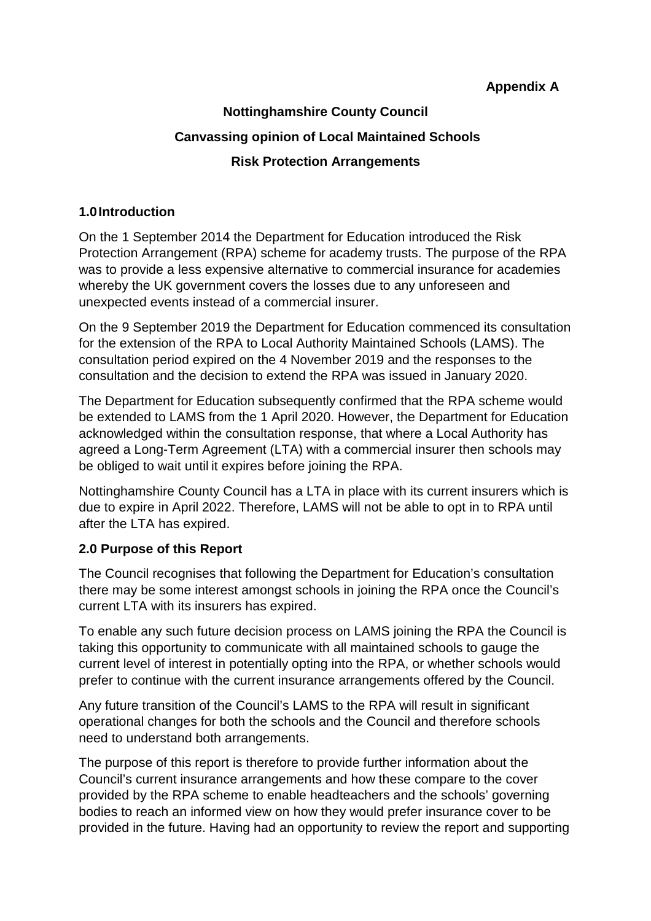## **Appendix A**

# **Nottinghamshire County Council Canvassing opinion of Local Maintained Schools Risk Protection Arrangements**

#### **1.0 Introduction**

On the 1 September 2014 the Department for Education introduced the Risk Protection Arrangement (RPA) scheme for academy trusts. The purpose of the RPA was to provide a less expensive alternative to commercial insurance for academies whereby the UK government covers the losses due to any unforeseen and unexpected events instead of a commercial insurer.

On the 9 September 2019 the Department for Education commenced its consultation for the extension of the RPA to Local Authority Maintained Schools (LAMS). The consultation period expired on the 4 November 2019 and the responses to the consultation and the decision to extend the RPA was issued in January 2020.

The Department for Education subsequently confirmed that the RPA scheme would be extended to LAMS from the 1 April 2020. However, the Department for Education acknowledged within the consultation response, that where a Local Authority has agreed a Long-Term Agreement (LTA) with a commercial insurer then schools may be obliged to wait until it expires before joining the RPA.

Nottinghamshire County Council has a LTA in place with its current insurers which is due to expire in April 2022. Therefore, LAMS will not be able to opt in to RPA until after the LTA has expired.

### **2.0 Purpose of this Report**

The Council recognises that following the Department for Education's consultation there may be some interest amongst schools in joining the RPA once the Council's current LTA with its insurers has expired.

To enable any such future decision process on LAMS joining the RPA the Council is taking this opportunity to communicate with all maintained schools to gauge the current level of interest in potentially opting into the RPA, or whether schools would prefer to continue with the current insurance arrangements offered by the Council.

Any future transition of the Council's LAMS to the RPA will result in significant operational changes for both the schools and the Council and therefore schools need to understand both arrangements.

The purpose of this report is therefore to provide further information about the Council's current insurance arrangements and how these compare to the cover provided by the RPA scheme to enable headteachers and the schools' governing bodies to reach an informed view on how they would prefer insurance cover to be provided in the future. Having had an opportunity to review the report and supporting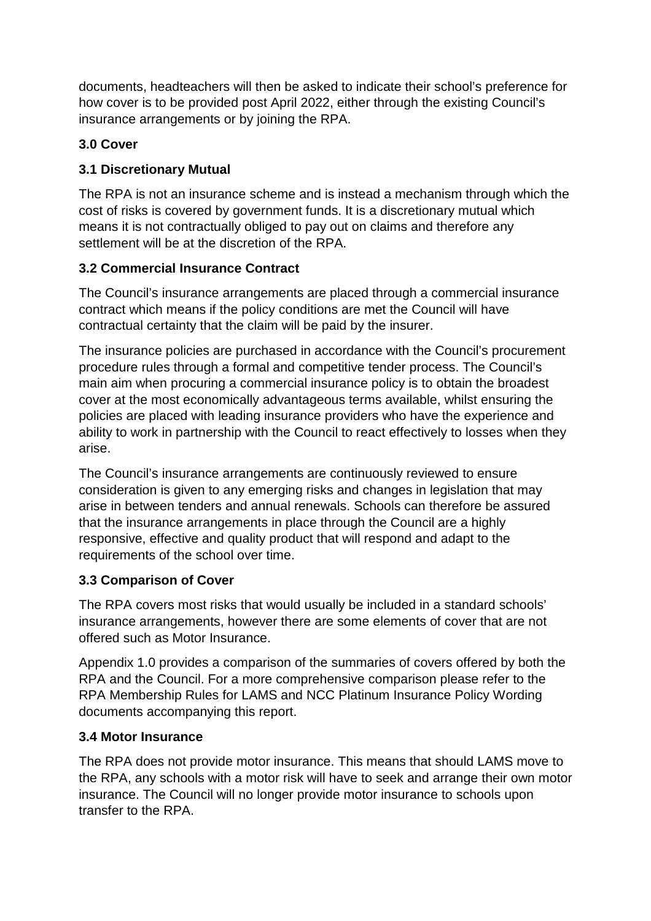documents, headteachers will then be asked to indicate their school's preference for how cover is to be provided post April 2022, either through the existing Council's insurance arrangements or by joining the RPA.

# **3.0 Cover**

# **3.1 Discretionary Mutual**

The RPA is not an insurance scheme and is instead a mechanism through which the cost of risks is covered by government funds. It is a discretionary mutual which means it is not contractually obliged to pay out on claims and therefore any settlement will be at the discretion of the RPA.

# **3.2 Commercial Insurance Contract**

The Council's insurance arrangements are placed through a commercial insurance contract which means if the policy conditions are met the Council will have contractual certainty that the claim will be paid by the insurer.

The insurance policies are purchased in accordance with the Council's procurement procedure rules through a formal and competitive tender process. The Council's main aim when procuring a commercial insurance policy is to obtain the broadest cover at the most economically advantageous terms available, whilst ensuring the policies are placed with leading insurance providers who have the experience and ability to work in partnership with the Council to react effectively to losses when they arise.

The Council's insurance arrangements are continuously reviewed to ensure consideration is given to any emerging risks and changes in legislation that may arise in between tenders and annual renewals. Schools can therefore be assured that the insurance arrangements in place through the Council are a highly responsive, effective and quality product that will respond and adapt to the requirements of the school over time.

# **3.3 Comparison of Cover**

The RPA covers most risks that would usually be included in a standard schools' insurance arrangements, however there are some elements of cover that are not offered such as Motor Insurance.

Appendix 1.0 provides a comparison of the summaries of covers offered by both the RPA and the Council. For a more comprehensive comparison please refer to the RPA Membership Rules for LAMS and NCC Platinum Insurance Policy Wording documents accompanying this report.

## **3.4 Motor Insurance**

The RPA does not provide motor insurance. This means that should LAMS move to the RPA, any schools with a motor risk will have to seek and arrange their own motor insurance. The Council will no longer provide motor insurance to schools upon transfer to the RPA.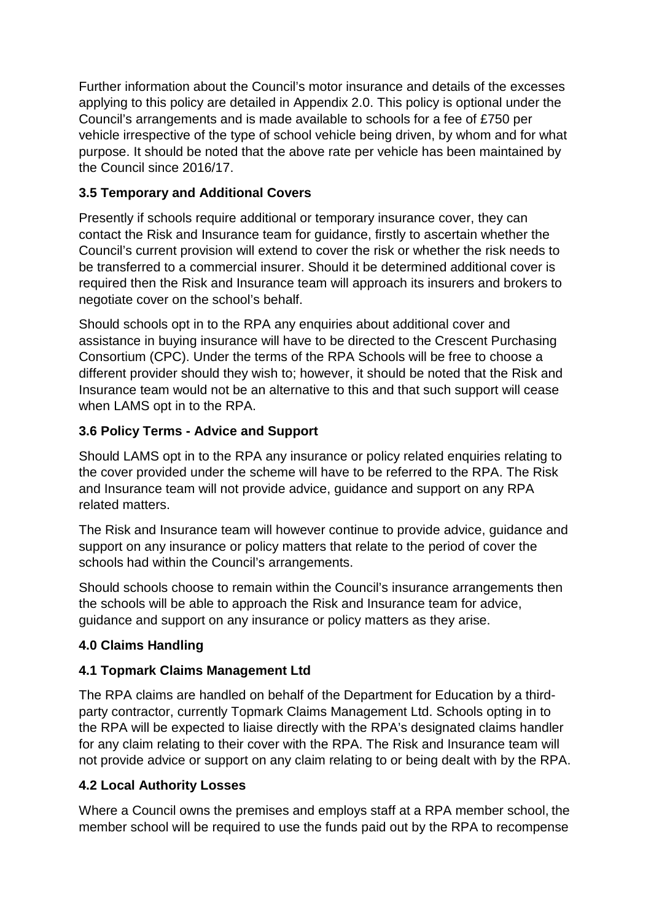Further information about the Council's motor insurance and details of the excesses applying to this policy are detailed in Appendix 2.0. This policy is optional under the Council's arrangements and is made available to schools for a fee of £750 per vehicle irrespective of the type of school vehicle being driven, by whom and for what purpose. It should be noted that the above rate per vehicle has been maintained by the Council since 2016/17.

# **3.5 Temporary and Additional Covers**

Presently if schools require additional or temporary insurance cover, they can contact the Risk and Insurance team for guidance, firstly to ascertain whether the Council's current provision will extend to cover the risk or whether the risk needs to be transferred to a commercial insurer. Should it be determined additional cover is required then the Risk and Insurance team will approach its insurers and brokers to negotiate cover on the school's behalf.

Should schools opt in to the RPA any enquiries about additional cover and assistance in buying insurance will have to be directed to the Crescent Purchasing Consortium (CPC). Under the terms of the RPA Schools will be free to choose a different provider should they wish to; however, it should be noted that the Risk and Insurance team would not be an alternative to this and that such support will cease when LAMS opt in to the RPA.

# **3.6 Policy Terms - Advice and Support**

Should LAMS opt in to the RPA any insurance or policy related enquiries relating to the cover provided under the scheme will have to be referred to the RPA. The Risk and Insurance team will not provide advice, guidance and support on any RPA related matters.

The Risk and Insurance team will however continue to provide advice, guidance and support on any insurance or policy matters that relate to the period of cover the schools had within the Council's arrangements.

Should schools choose to remain within the Council's insurance arrangements then the schools will be able to approach the Risk and Insurance team for advice, guidance and support on any insurance or policy matters as they arise.

## **4.0 Claims Handling**

## **4.1 Topmark Claims Management Ltd**

The RPA claims are handled on behalf of the Department for Education by a thirdparty contractor, currently Topmark Claims Management Ltd. Schools opting in to the RPA will be expected to liaise directly with the RPA's designated claims handler for any claim relating to their cover with the RPA. The Risk and Insurance team will not provide advice or support on any claim relating to or being dealt with by the RPA.

## **4.2 Local Authority Losses**

Where a Council owns the premises and employs staff at a RPA member school, the member school will be required to use the funds paid out by the RPA to recompense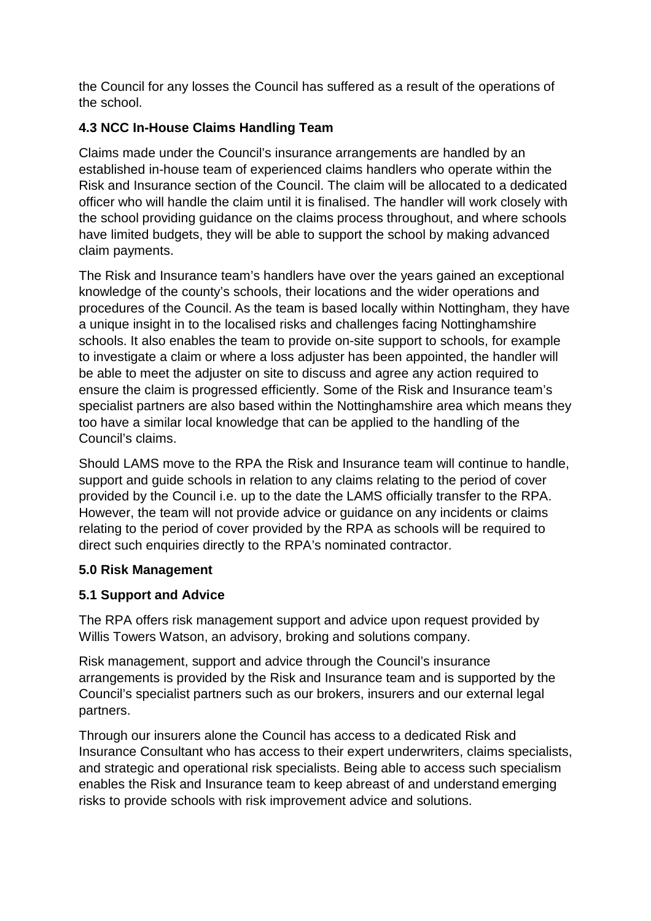the Council for any losses the Council has suffered as a result of the operations of the school.

# **4.3 NCC In-House Claims Handling Team**

Claims made under the Council's insurance arrangements are handled by an established in-house team of experienced claims handlers who operate within the Risk and Insurance section of the Council. The claim will be allocated to a dedicated officer who will handle the claim until it is finalised. The handler will work closely with the school providing guidance on the claims process throughout, and where schools have limited budgets, they will be able to support the school by making advanced claim payments.

The Risk and Insurance team's handlers have over the years gained an exceptional knowledge of the county's schools, their locations and the wider operations and procedures of the Council. As the team is based locally within Nottingham, they have a unique insight in to the localised risks and challenges facing Nottinghamshire schools. It also enables the team to provide on-site support to schools, for example to investigate a claim or where a loss adjuster has been appointed, the handler will be able to meet the adjuster on site to discuss and agree any action required to ensure the claim is progressed efficiently. Some of the Risk and Insurance team's specialist partners are also based within the Nottinghamshire area which means they too have a similar local knowledge that can be applied to the handling of the Council's claims.

Should LAMS move to the RPA the Risk and Insurance team will continue to handle, support and guide schools in relation to any claims relating to the period of cover provided by the Council i.e. up to the date the LAMS officially transfer to the RPA. However, the team will not provide advice or guidance on any incidents or claims relating to the period of cover provided by the RPA as schools will be required to direct such enquiries directly to the RPA's nominated contractor.

## **5.0 Risk Management**

### **5.1 Support and Advice**

The RPA offers risk management support and advice upon request provided by Willis Towers Watson, an advisory, broking and solutions company.

Risk management, support and advice through the Council's insurance arrangements is provided by the Risk and Insurance team and is supported by the Council's specialist partners such as our brokers, insurers and our external legal partners.

Through our insurers alone the Council has access to a dedicated Risk and Insurance Consultant who has access to their expert underwriters, claims specialists, and strategic and operational risk specialists. Being able to access such specialism enables the Risk and Insurance team to keep abreast of and understand emerging risks to provide schools with risk improvement advice and solutions.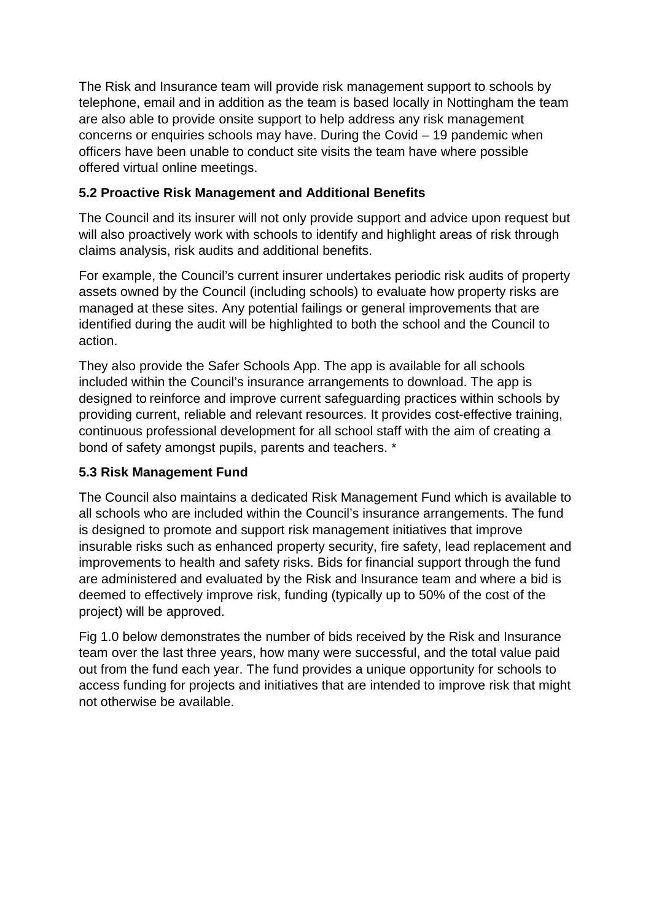The Risk and Insurance team will provide risk management support to schools by telephone, email and in addition as the team is based locally in Nottingham the team are also able to provide onsite support to help address any risk management concerns or enquiries schools may have. During the Covid – 19 pandemic when officers have been unable to conduct site visits the team have where possible offered virtual online meetings.

## **5.2 Proactive Risk Management and Additional Benefits**

The Council and its insurer will not only provide support and advice upon request but will also proactively work with schools to identify and highlight areas of risk through claims analysis, risk audits and additional benefits.

For example, the Council's current insurer undertakes periodic risk audits of property assets owned by the Council (including schools) to evaluate how property risks are managed at these sites. Any potential failings or general improvements that are identified during the audit will be highlighted to both the school and the Council to action.

They also provide the Safer Schools App. The app is available for all schools included within the Council's insurance arrangements to download. The app is designed to reinforce and improve current safeguarding practices within schools by providing current, reliable and relevant resources. It provides cost-effective training, continuous professional development for all school staff with the aim of creating a bond of safety amongst pupils, parents and teachers. \*

### **5.3 Risk Management Fund**

The Council also maintains a dedicated Risk Management Fund which is available to all schools who are included within the Council's insurance arrangements. The fund is designed to promote and support risk management initiatives that improve insurable risks such as enhanced property security, fire safety, lead replacement and improvements to health and safety risks. Bids for financial support through the fund are administered and evaluated by the Risk and Insurance team and where a bid is deemed to effectively improve risk, funding (typically up to 50% of the cost of the project) will be approved.

Fig 1.0 below demonstrates the number of bids received by the Risk and Insurance team over the last three years, how many were successful, and the total value paid out from the fund each year. The fund provides a unique opportunity for schools to access funding for projects and initiatives that are intended to improve risk that might not otherwise be available.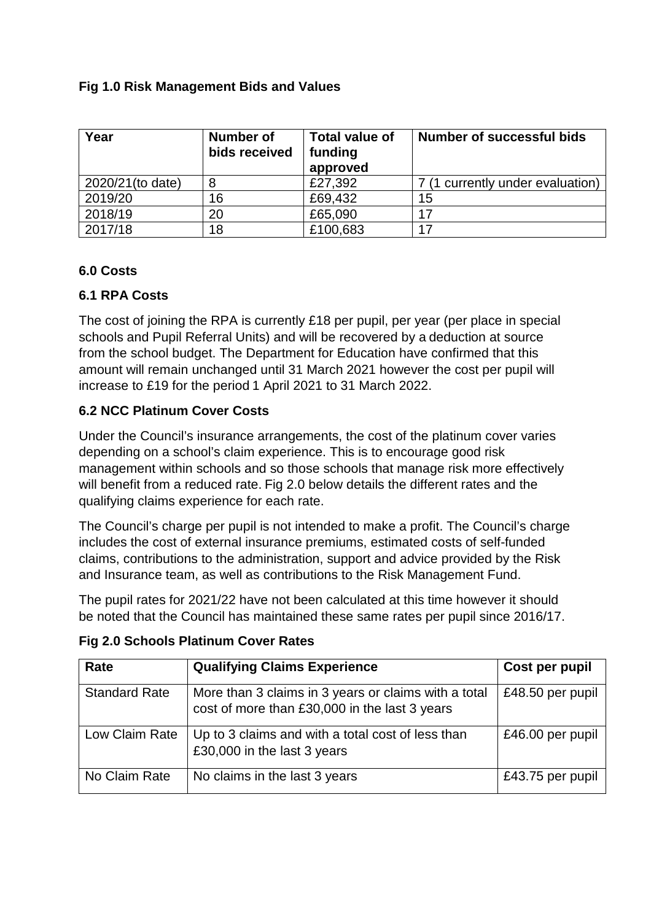## **Fig 1.0 Risk Management Bids and Values**

| Year             | Number of<br>bids received | Total value of<br>funding<br>approved | <b>Number of successful bids</b> |
|------------------|----------------------------|---------------------------------------|----------------------------------|
| 2020/21(to date) | 8                          | £27,392                               | (1 currently under evaluation)   |
| 2019/20          | 16                         | £69,432                               | 15                               |
| 2018/19          | 20                         | £65,090                               | 17                               |
| 2017/18          | 18                         | £100,683                              |                                  |

#### **6.0 Costs**

### **6.1 RPA Costs**

The cost of joining the RPA is currently £18 per pupil, per year (per place in special schools and Pupil Referral Units) and will be recovered by a deduction at source from the school budget. The Department for Education have confirmed that this amount will remain unchanged until 31 March 2021 however the cost per pupil will increase to £19 for the period 1 April 2021 to 31 March 2022.

## **6.2 NCC Platinum Cover Costs**

Under the Council's insurance arrangements, the cost of the platinum cover varies depending on a school's claim experience. This is to encourage good risk management within schools and so those schools that manage risk more effectively will benefit from a reduced rate. Fig 2.0 below details the different rates and the qualifying claims experience for each rate.

The Council's charge per pupil is not intended to make a profit. The Council's charge includes the cost of external insurance premiums, estimated costs of self-funded claims, contributions to the administration, support and advice provided by the Risk and Insurance team, as well as contributions to the Risk Management Fund.

The pupil rates for 2021/22 have not been calculated at this time however it should be noted that the Council has maintained these same rates per pupil since 2016/17.

| Rate                 | <b>Qualifying Claims Experience</b>                                                                   | Cost per pupil   |
|----------------------|-------------------------------------------------------------------------------------------------------|------------------|
| <b>Standard Rate</b> | More than 3 claims in 3 years or claims with a total<br>cost of more than £30,000 in the last 3 years | £48.50 per pupil |
| Low Claim Rate       | Up to 3 claims and with a total cost of less than<br>£30,000 in the last 3 years                      | £46.00 per pupil |
| No Claim Rate        | No claims in the last 3 years                                                                         | £43.75 per pupil |

### **Fig 2.0 Schools Platinum Cover Rates**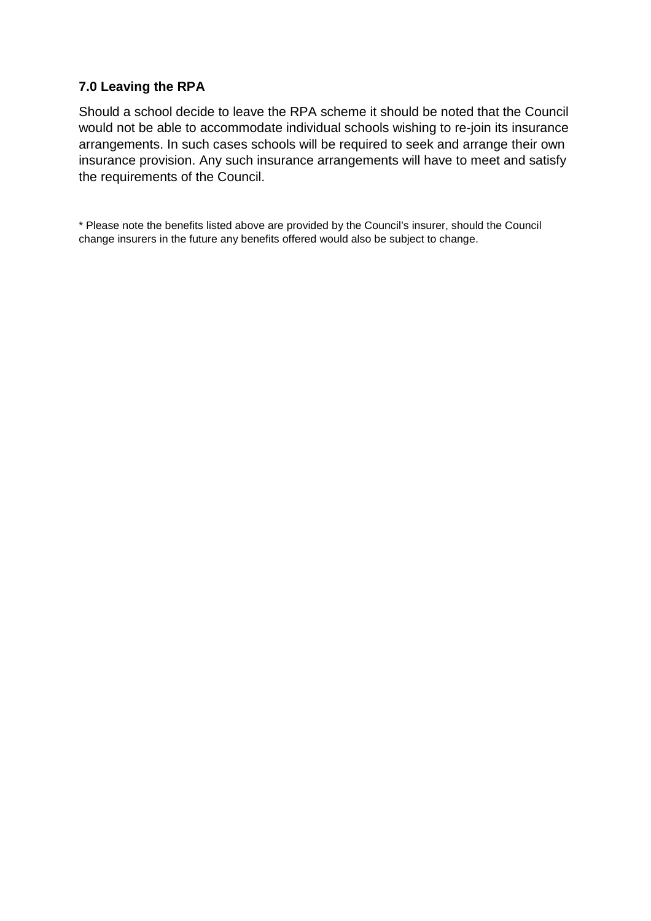#### **7.0 Leaving the RPA**

Should a school decide to leave the RPA scheme it should be noted that the Council would not be able to accommodate individual schools wishing to re-join its insurance arrangements. In such cases schools will be required to seek and arrange their own insurance provision. Any such insurance arrangements will have to meet and satisfy the requirements of the Council.

\* Please note the benefits listed above are provided by the Council's insurer, should the Council change insurers in the future any benefits offered would also be subject to change.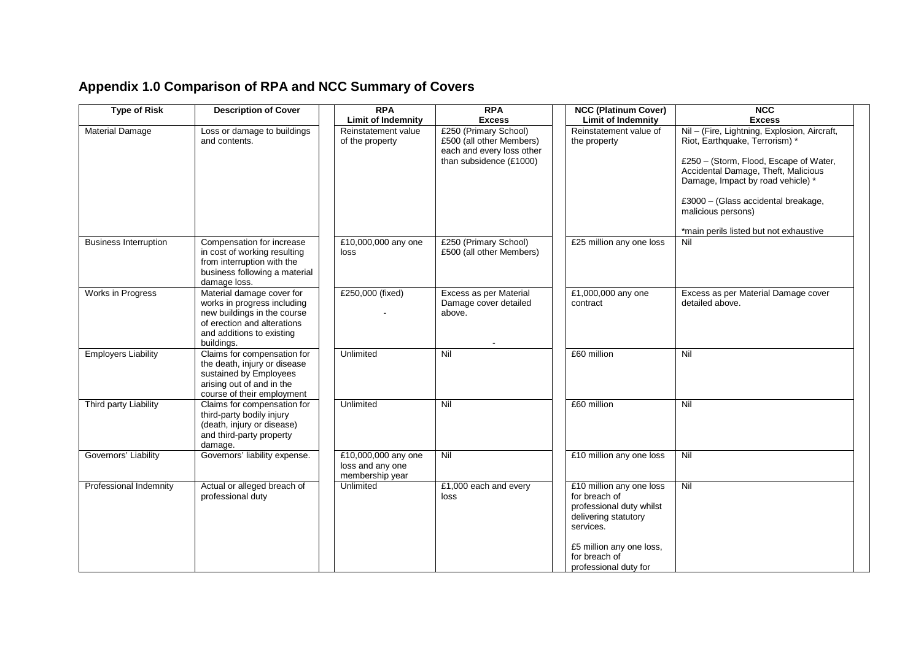# **Appendix 1.0 Comparison of RPA and NCC Summary of Covers**

| <b>Type of Risk</b>          | <b>Description of Cover</b>                                                                                                                                       | <b>RPA</b>                                                 | <b>RPA</b>                                                                                                |                                             | <b>NCC (Platinum Cover)</b>                                                                                                       | <b>NCC</b>                                                                                                                                                                                                                                                                                                  |
|------------------------------|-------------------------------------------------------------------------------------------------------------------------------------------------------------------|------------------------------------------------------------|-----------------------------------------------------------------------------------------------------------|---------------------------------------------|-----------------------------------------------------------------------------------------------------------------------------------|-------------------------------------------------------------------------------------------------------------------------------------------------------------------------------------------------------------------------------------------------------------------------------------------------------------|
|                              |                                                                                                                                                                   | <b>Limit of Indemnity</b>                                  | <b>Excess</b>                                                                                             |                                             | <b>Limit of Indemnity</b>                                                                                                         | <b>Excess</b>                                                                                                                                                                                                                                                                                               |
| <b>Material Damage</b>       | Loss or damage to buildings<br>and contents.                                                                                                                      | Reinstatement value<br>of the property                     | £250 (Primary School)<br>£500 (all other Members)<br>each and every loss other<br>than subsidence (£1000) | the property                                | Reinstatement value of                                                                                                            | Nil - (Fire, Lightning, Explosion, Aircraft,<br>Riot, Earthquake, Terrorism) *<br>£250 - (Storm, Flood, Escape of Water,<br>Accidental Damage, Theft, Malicious<br>Damage, Impact by road vehicle) *<br>£3000 - (Glass accidental breakage,<br>malicious persons)<br>*main perils listed but not exhaustive |
| <b>Business Interruption</b> | Compensation for increase<br>in cost of working resulting<br>from interruption with the<br>business following a material<br>damage loss.                          | £10,000,000 any one<br>loss                                | £250 (Primary School)<br>£500 (all other Members)                                                         |                                             | £25 million any one loss                                                                                                          | Nil                                                                                                                                                                                                                                                                                                         |
| Works in Progress            | Material damage cover for<br>works in progress including<br>new buildings in the course<br>of erection and alterations<br>and additions to existing<br>buildings. | £250,000 (fixed)                                           | Excess as per Material<br>Damage cover detailed<br>above.                                                 | contract                                    | £1,000,000 any one                                                                                                                | Excess as per Material Damage cover<br>detailed above.                                                                                                                                                                                                                                                      |
| <b>Employers Liability</b>   | Claims for compensation for<br>the death, injury or disease<br>sustained by Employees<br>arising out of and in the<br>course of their employment                  | Unlimited                                                  | Nil                                                                                                       | £60 million                                 |                                                                                                                                   | Nil                                                                                                                                                                                                                                                                                                         |
| Third party Liability        | Claims for compensation for<br>third-party bodily injury<br>(death, injury or disease)<br>and third-party property<br>damage.                                     | Unlimited                                                  | Nil                                                                                                       | £60 million                                 |                                                                                                                                   | Nil                                                                                                                                                                                                                                                                                                         |
| Governors' Liability         | Governors' liability expense.                                                                                                                                     | £10,000,000 any one<br>loss and any one<br>membership year | Nil                                                                                                       |                                             | £10 million any one loss                                                                                                          | Nil                                                                                                                                                                                                                                                                                                         |
| Professional Indemnity       | Actual or alleged breach of<br>professional duty                                                                                                                  | Unlimited                                                  | £1,000 each and every<br>loss                                                                             | for breach of<br>services.<br>for breach of | £10 million any one loss<br>professional duty whilst<br>delivering statutory<br>£5 million any one loss,<br>professional duty for | Nil                                                                                                                                                                                                                                                                                                         |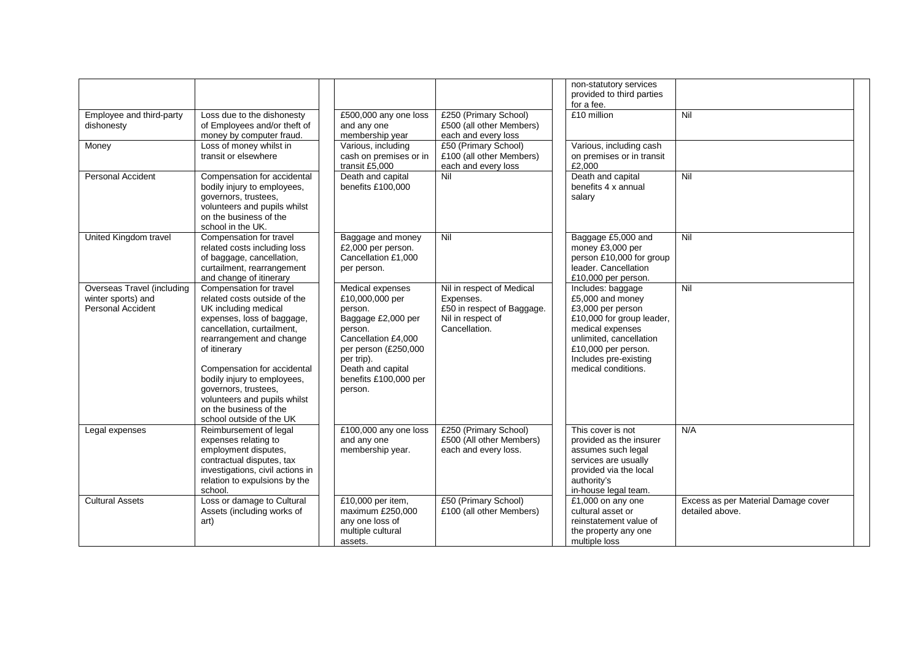|                                                                       |                                                                                                                                                                                                                                                                               |                                                                                                                                                                                                       |                                                                                                            | non-statutory services<br>provided to third parties<br>for a fee.                                                                                                                                             |                                                        |
|-----------------------------------------------------------------------|-------------------------------------------------------------------------------------------------------------------------------------------------------------------------------------------------------------------------------------------------------------------------------|-------------------------------------------------------------------------------------------------------------------------------------------------------------------------------------------------------|------------------------------------------------------------------------------------------------------------|---------------------------------------------------------------------------------------------------------------------------------------------------------------------------------------------------------------|--------------------------------------------------------|
| Employee and third-party<br>dishonesty                                | Loss due to the dishonesty<br>of Employees and/or theft of<br>money by computer fraud.                                                                                                                                                                                        | £500,000 any one loss<br>and any one<br>membership year                                                                                                                                               | £250 (Primary School)<br>£500 (all other Members)<br>each and every loss                                   | £10 million                                                                                                                                                                                                   | Nil                                                    |
| Money                                                                 | Loss of money whilst in<br>transit or elsewhere                                                                                                                                                                                                                               | Various, including<br>cash on premises or in<br>transit £5,000                                                                                                                                        | £50 (Primary School)<br>£100 (all other Members)<br>each and every loss                                    | Various, including cash<br>on premises or in transit<br>£2,000                                                                                                                                                |                                                        |
| <b>Personal Accident</b>                                              | Compensation for accidental<br>bodily injury to employees,<br>governors, trustees,<br>volunteers and pupils whilst<br>on the business of the<br>school in the UK.                                                                                                             | Death and capital<br>benefits £100,000                                                                                                                                                                | Nil                                                                                                        | Death and capital<br>benefits 4 x annual<br>salary                                                                                                                                                            | Nil                                                    |
| United Kingdom travel                                                 | Compensation for travel<br>related costs including loss<br>of baggage, cancellation,<br>curtailment, rearrangement<br>and change of itinerary                                                                                                                                 | Baggage and money<br>£2,000 per person.<br>Cancellation £1,000<br>per person.                                                                                                                         | Nil                                                                                                        | Baggage £5,000 and<br>money £3,000 per<br>person £10,000 for group<br>leader. Cancellation<br>£10,000 per person.                                                                                             | Nil                                                    |
| Overseas Travel (including<br>winter sports) and<br>Personal Accident | Compensation for travel<br>related costs outside of the<br>UK including medical<br>expenses, loss of baggage,<br>cancellation, curtailment,<br>rearrangement and change<br>of itinerary<br>Compensation for accidental<br>bodily injury to employees,<br>governors, trustees, | Medical expenses<br>£10,000,000 per<br>person.<br>Baggage £2,000 per<br>person.<br>Cancellation £4,000<br>per person (£250,000<br>per trip).<br>Death and capital<br>benefits £100,000 per<br>person. | Nil in respect of Medical<br>Expenses.<br>£50 in respect of Baggage.<br>Nil in respect of<br>Cancellation. | Includes: baggage<br>£5,000 and money<br>£3,000 per person<br>£10,000 for group leader,<br>medical expenses<br>unlimited, cancellation<br>£10,000 per person.<br>Includes pre-existing<br>medical conditions. | Nil                                                    |
|                                                                       | volunteers and pupils whilst<br>on the business of the<br>school outside of the UK                                                                                                                                                                                            |                                                                                                                                                                                                       |                                                                                                            |                                                                                                                                                                                                               |                                                        |
| Legal expenses                                                        | Reimbursement of legal<br>expenses relating to<br>employment disputes,<br>contractual disputes, tax<br>investigations, civil actions in<br>relation to expulsions by the<br>school.                                                                                           | £100,000 any one loss<br>and any one<br>membership year.                                                                                                                                              | £250 (Primary School)<br>£500 (All other Members)<br>each and every loss.                                  | This cover is not<br>provided as the insurer<br>assumes such legal<br>services are usually<br>provided via the local<br>authority's<br>in-house legal team.                                                   | N/A                                                    |
| <b>Cultural Assets</b>                                                | Loss or damage to Cultural<br>Assets (including works of<br>art)                                                                                                                                                                                                              | £10,000 per item,<br>maximum £250,000<br>any one loss of<br>multiple cultural<br>assets.                                                                                                              | £50 (Primary School)<br>£100 (all other Members)                                                           | £1,000 on any one<br>cultural asset or<br>reinstatement value of<br>the property any one<br>multiple loss                                                                                                     | Excess as per Material Damage cover<br>detailed above. |